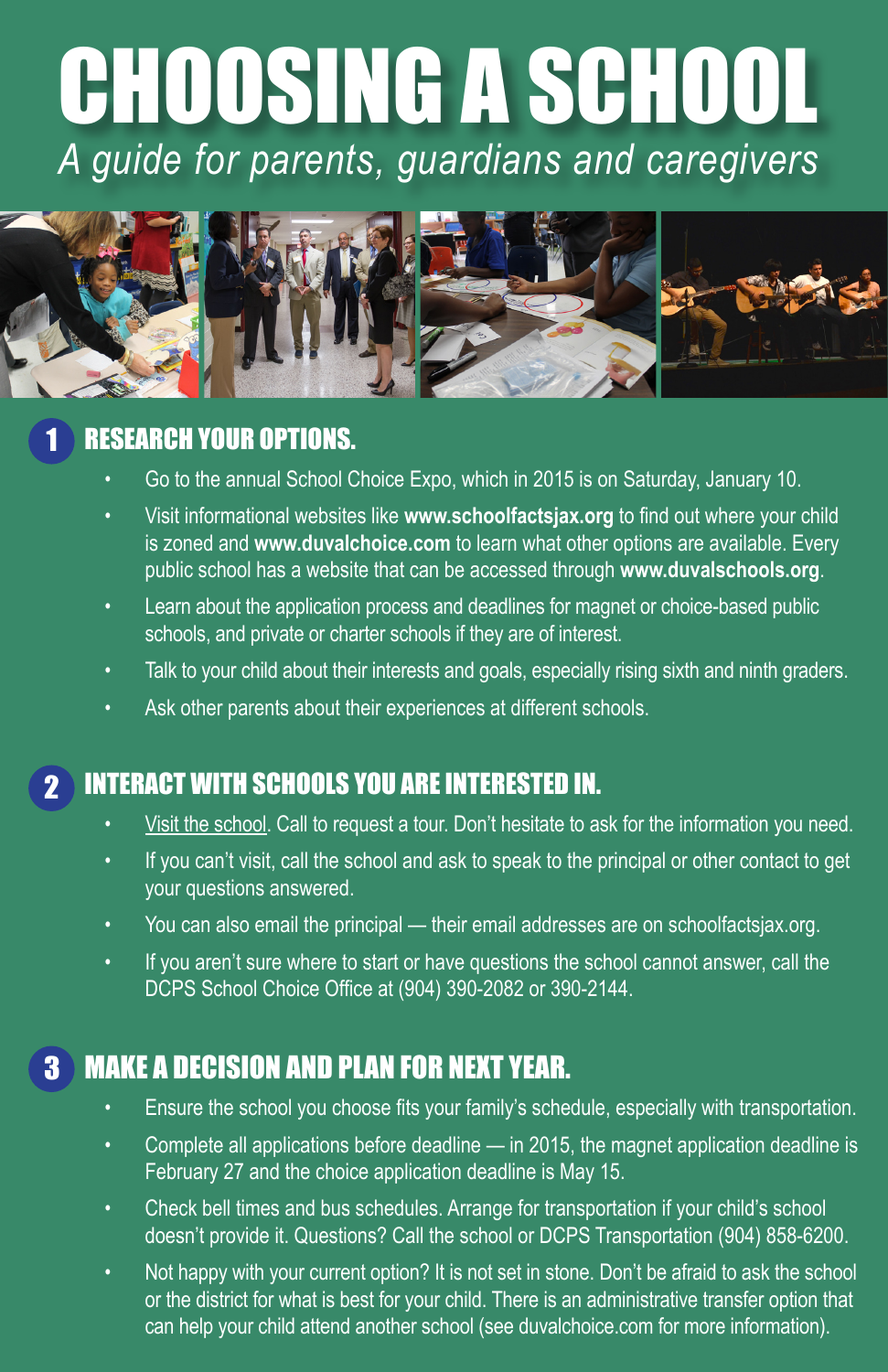# CHOOSING A SCHOOL *A guide for parents, guardians and caregivers*



#### RESEARCH YOUR OPTIONS. 1

- Go to the annual School Choice Expo, which in 2015 is on Saturday, January 10.
- Visit informational websites like www.schoolfactsjax.org to find out where your child is zoned and **www.duvalchoice.com** to learn what other options are available. Every public school has a website that can be accessed through **www.duvalschools.org**.
- Learn about the application process and deadlines for magnet or choice-based public schools, and private or charter schools if they are of interest.
- Talk to your child about their interests and goals, especially rising sixth and ninth graders.
- Ask other parents about their experiences at different schools.

#### INTERACT WITH SCHOOLS YOU ARE INTERESTED IN. 2

- Visit the school. Call to request a tour. Don't hesitate to ask for the information you need.
- If you can't visit, call the school and ask to speak to the principal or other contact to get your questions answered.
- You can also email the principal their email addresses are on schoolfactsjax.org.
- If you aren't sure where to start or have questions the school cannot answer, call the DCPS School Choice Office at (904) 390-2082 or 390-2144.

#### MAKE A DECISION AND PLAN FOR NEXT YEAR. 3

- Ensure the school you choose fits your family's schedule, especially with transportation.
- Complete all applications before deadline  $-$  in 2015, the magnet application deadline is February 27 and the choice application deadline is May 15.
- Check bell times and bus schedules. Arrange for transportation if your child's school doesn't provide it. Questions? Call the school or DCPS Transportation (904) 858-6200.
- Not happy with your current option? It is not set in stone. Don't be afraid to ask the school or the district for what is best for your child. There is an administrative transfer option that can help your child attend another school (see duvalchoice.com for more information).